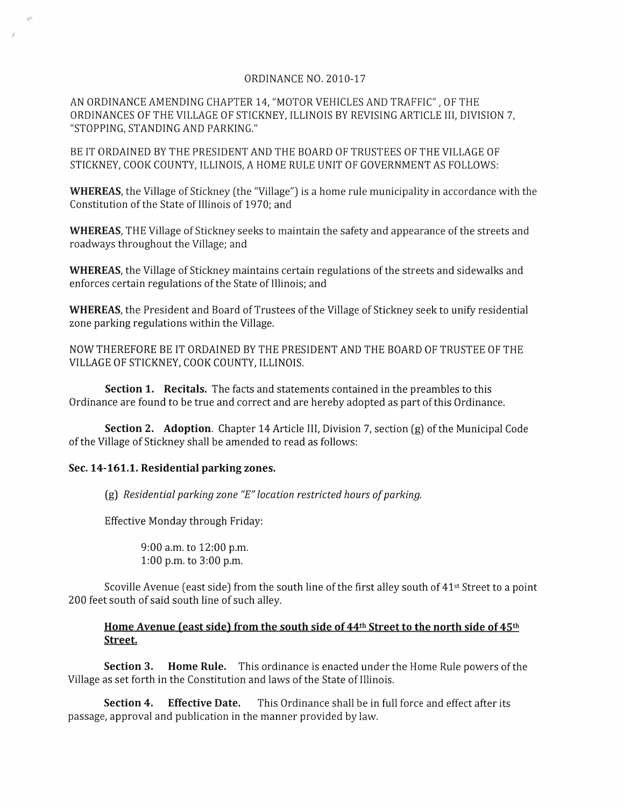## ORDINANCE NO. 2010-17

AN ORDINANCE AMENDING CHAPTER 14, "MOTOR VEHICLES AND TRAFFIC" , OF THE ORDINANCES OF THE VILLAGE OF STICKNEY, ILLINOIS BY REVISING ARTICLE III, DIVISION 7, "STOPPING, STANDING AND PARKING."

BE IT ORDAINED BY THE PRESIDENT AND THE BOARD OF TRUSTEES OF THE VILLAGE OF STICKNEY, COOK COUNTY, ILLINOIS, A HOME RULE UNIT OF GOVERNMENT AS FOLLOWS:

**WHEREAS,** the Village of Stickney (the "Village") is a home rule municipality in accordance with the Constitution of the State of Illinois of 1970; and

**WHEREAS,** THE Village of Stickney seeks to maintain the safety and appearance of the streets and roadways throughout the Village; and

**WHEREAS,** the Village of Stickney maintains certain regulations of the streets and sidewalks and enforces certain regulations of the State of Illinois; and

**WHEREAS,** the President and Board of Trustees of the Village of Stickney seek to unify residential zone parking regulations within the Village.

NOW THEREFORE BE IT ORDAINED BY THE PRESIDENT AND THE BOARD OF TRUSTEE OF THE VILLAGE OF STICKNEY, COOK COUNTY, ILLINOIS.

**Section 1. Recitals.** The facts and statements contained in the preambles to this Ordinance are found to be true and correct and are hereby adopted as part of this Ordinance.

**Section 2. Adoption.** Chapter 14 Article III, Division 7, section (g) of the Municipal Code of the Village of Stickney shall be amended to read as follows:

## Sec. 14-161.1. **Residential parking zones.**

(g) *Residential parking zone "E" location restricted hours of parking.* 

Effective Monday through Friday:

9:00 a.m. to 12:00 p.m. 1:00 p.m. to 3:00 p.m.

Scoville Avenue (east side) from the south line of the first alley south of 41<sup>st</sup> Street to a point 200 feet south of said south line of such alley.

## **Home Avenue (east side) from the south side of** 44th **Street to the north side of** 45th **Street.**

**Section 3. Home Rule.** This ordinance is enacted under the Home Rule powers of the Village as set forth in the Constitution and laws of the State of Illinois.

**Section 4. Effective Date.** This Ordinance shall be in full force and effect after its passage, approval and publication in the manner provided by law.